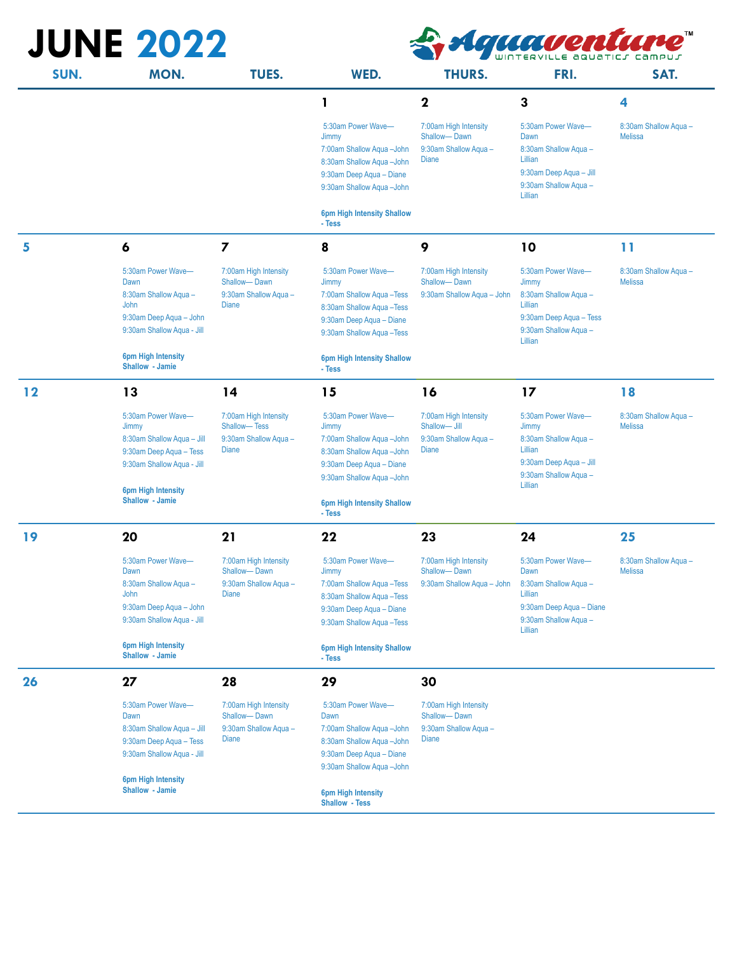| <b>JUNE 2022</b><br>Iquaventur |                                                                                                                                                                   |                                                                                |                                                                                                                                                                                                  |                                                                                |                                                                                                                                |                                         |
|--------------------------------|-------------------------------------------------------------------------------------------------------------------------------------------------------------------|--------------------------------------------------------------------------------|--------------------------------------------------------------------------------------------------------------------------------------------------------------------------------------------------|--------------------------------------------------------------------------------|--------------------------------------------------------------------------------------------------------------------------------|-----------------------------------------|
| SUN.                           | MON.                                                                                                                                                              | TUES.                                                                          | WED.                                                                                                                                                                                             | <b>THURS.</b>                                                                  | FRI.                                                                                                                           | SAT.                                    |
|                                |                                                                                                                                                                   |                                                                                | 1                                                                                                                                                                                                | $\mathbf 2$                                                                    | 3                                                                                                                              | 4                                       |
|                                |                                                                                                                                                                   |                                                                                | 5:30am Power Wave-<br>Jimmy<br>7:00am Shallow Aqua - John<br>8:30am Shallow Aqua - John<br>9:30am Deep Aqua - Diane<br>9:30am Shallow Aqua - John                                                | 7:00am High Intensity<br>Shallow-Dawn<br>9:30am Shallow Agua -<br><b>Diane</b> | 5:30am Power Wave-<br>Dawn<br>8:30am Shallow Aqua -<br>Lillian<br>9:30am Deep Aqua - Jill<br>9:30am Shallow Aqua -<br>Lillian  | 8:30am Shallow Aqua -<br><b>Melissa</b> |
|                                |                                                                                                                                                                   |                                                                                | <b>6pm High Intensity Shallow</b><br>- Tess                                                                                                                                                      |                                                                                |                                                                                                                                |                                         |
| 5                              | 6                                                                                                                                                                 | $\overline{\mathbf{z}}$                                                        | 8                                                                                                                                                                                                | 9                                                                              | 10                                                                                                                             | 11                                      |
|                                | 5:30am Power Wave-<br>Dawn<br>8:30am Shallow Aqua -<br>John<br>9:30am Deep Aqua - John<br>9:30am Shallow Agua - Jill<br><b>6pm High Intensity</b>                 | 7:00am High Intensity<br>Shallow-Dawn<br>9:30am Shallow Aqua -<br><b>Diane</b> | 5:30am Power Wave-<br>Jimmy<br>7:00am Shallow Aqua - Tess<br>8:30am Shallow Aqua - Tess<br>9:30am Deep Aqua - Diane<br>9:30am Shallow Aqua - Tess<br><b>6pm High Intensity Shallow</b>           | 7:00am High Intensity<br>Shallow-Dawn<br>9:30am Shallow Aqua - John            | 5:30am Power Wave-<br>Jimmy<br>8:30am Shallow Aqua -<br>Lillian<br>9:30am Deep Aqua - Tess<br>9:30am Shallow Agua -<br>Lillian | 8:30am Shallow Aqua -<br><b>Melissa</b> |
|                                | Shallow - Jamie                                                                                                                                                   |                                                                                | - Tess                                                                                                                                                                                           |                                                                                |                                                                                                                                |                                         |
| 12                             | 13                                                                                                                                                                | 14                                                                             | 15                                                                                                                                                                                               | 16                                                                             | 17                                                                                                                             | 18                                      |
|                                | 5:30am Power Wave-<br>Jimmy<br>8:30am Shallow Aqua - Jill<br>9:30am Deep Aqua - Tess<br>9:30am Shallow Aqua - Jill<br><b>6pm High Intensity</b>                   | 7:00am High Intensity<br>Shallow-Tess<br>9:30am Shallow Aqua -<br>Diane        | 5:30am Power Wave-<br>Jimmy<br>7:00am Shallow Aqua - John<br>8:30am Shallow Aqua - John<br>9:30am Deep Aqua - Diane<br>9:30am Shallow Aqua - John                                                | 7:00am High Intensity<br>Shallow-Jill<br>9:30am Shallow Aqua -<br><b>Diane</b> | 5:30am Power Wave-<br>Jimmy<br>8:30am Shallow Aqua -<br>Lillian<br>9:30am Deep Aqua - Jill<br>9:30am Shallow Aqua -<br>Lillian | 8:30am Shallow Aqua -<br><b>Melissa</b> |
|                                | Shallow - Jamie                                                                                                                                                   |                                                                                | <b>6pm High Intensity Shallow</b><br>- Tess                                                                                                                                                      |                                                                                |                                                                                                                                |                                         |
| 19                             | 20                                                                                                                                                                | 21                                                                             | 22                                                                                                                                                                                               | 23                                                                             | 24                                                                                                                             | 25                                      |
|                                | 5:30am Power Wave-<br>Dawn<br>8:30am Shallow Aqua -<br>John<br>9:30am Deep Aqua - John<br>9:30am Shallow Aqua - Jill<br>6pm High Intensity<br>Shallow - Jamie     | 7:00am High Intensity<br>Shallow-Dawn<br>9:30am Shallow Aqua -<br>Diane        | 5:30am Power Wave-<br>Jimmy<br>7:00am Shallow Aqua - Tess<br>8:30am Shallow Aqua - Tess<br>9:30am Deep Aqua - Diane<br>9:30am Shallow Agua - Tess<br><b>6pm High Intensity Shallow</b><br>- Tess | 7:00am High Intensity<br>Shallow-Dawn<br>9:30am Shallow Aqua - John            | 5:30am Power Wave-<br>Dawn<br>8:30am Shallow Aqua -<br>Lillian<br>9:30am Deep Aqua - Diane<br>9:30am Shallow Aqua -<br>Lillian | 8:30am Shallow Aqua-<br><b>Melissa</b>  |
| 26                             | 27                                                                                                                                                                | 28                                                                             | 29                                                                                                                                                                                               | 30                                                                             |                                                                                                                                |                                         |
|                                | 5:30am Power Wave-<br>Dawn<br>8:30am Shallow Aqua - Jill<br>9:30am Deep Aqua - Tess<br>9:30am Shallow Aqua - Jill<br><b>6pm High Intensity</b><br>Shallow - Jamie | 7:00am High Intensity<br>Shallow-Dawn<br>9:30am Shallow Aqua -<br>Diane        | 5:30am Power Wave-<br>Dawn<br>7:00am Shallow Aqua -John<br>8:30am Shallow Aqua - John<br>9:30am Deep Aqua - Diane<br>9:30am Shallow Aqua - John<br>6pm High Intensity<br><b>Shallow - Tess</b>   | 7:00am High Intensity<br>Shallow-Dawn<br>9:30am Shallow Aqua -<br>Diane        |                                                                                                                                |                                         |